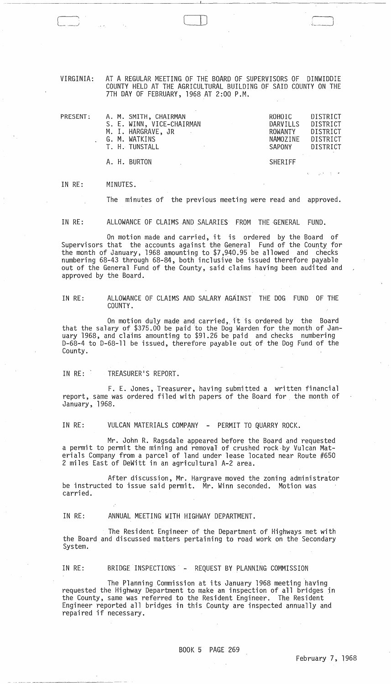VIRGINIA: AT A REGULAR MEETING OF THE BOARD OF SUPERVISORS OF DINWIDDIE COUNTY HELD AT THE AGRICULTURAL BUILDING OF SAID COUNTY ON THE 7TH DAY OF FEBRUARY, 1968 AT 2:00 P.M.

CD

| PRESENT: |  | A. M. SMITH, CHAIRMAN<br>S. E. WINN, VICE-CHAIRMAN<br>M. I. HARGRAVE, JR<br>G. M. WATKINS<br>T. H. TUNSTALL | ROHOIC<br>DARVILLS<br>ROWANTY<br>NAMOZINE<br>SAPONY | DISTRICT<br>DISTRICT<br>DISTRICT<br>DISTRICT<br><b>DISTRICT</b> |
|----------|--|-------------------------------------------------------------------------------------------------------------|-----------------------------------------------------|-----------------------------------------------------------------|
|          |  | A. H. BURTON                                                                                                | <b>SHERIFF</b>                                      |                                                                 |

IN RE: MINUTES.

The minutes of the previous meeting were read and approved.

IN RE: ALLOWANCE OF CLAIMS AND SALARIES FROM THE GENERAL FUND.

On motion made and carried, it is ordered by the Board of Supervisors that the accounts against the General Fund of the County for the month of January, 1968 amounting to \$7,940.95 be allowed and checks numbering 68-43 through 68-84, both inclusive be issued therefore payable out of the General Fund of the County, said claims having been audited and approved by the Board.

IN RE: ALLOWANCE OF CLAIMS AND SALARY AGAINST THE DOG FUND OF THE COUNTY.

On motion duly made and carried, it is ordered by the Board that the salary of \$375.00 be paid to the Dog Warden for the month of January 1968, and claims amounting to \$91.26 be paid and checks numbering 0-68-4 to 0-68-11 be issued, therefore payable out of the Dog Fund of the County.

IN RE: TREASURER'S REPORT.

F. E. Jones, Treasurer, having submitted a written financial report, same was ordered filed with papers of the Board for the month of January, 1968.

IN RE: VULCAN MATERIALS COMPANY - PERMIT TO QUARRY ROCK.

Mr. John R. Ragsdale appeared before the Board and requested a permit to permit the mining and removal of crushed rock-by Vulcan Materials Company from a parcel of land under lease located near Route #650 2 miles East of DeWitt in an agricultural A-2 area.

After discussion, Mr. Hargrave moved the zoning administrator be instructed to issue said permit. Mr. Winn seconded. Motion was carried.

IN RE: ANNUAL MEETING WITH HIGHWAY DEPARTMENT.

The Resident Engineer of the Department of Highways met with the Board and discussed matters pertaining to road work on the Secondary System.

IN RE: BRIDGE INSPECTIONS' - REQUEST BY PLANNING COMMISSION

The Planning Commission at its January 1968 meeting having requested the Highway Department to make an inspection of all bridges in the County, same was referred to the Resident Engineer. The Resident Engineer reported all bridges in this County are inspected annually and engineer reported arra<br>repaired if necessary.

 $\sim 10^7$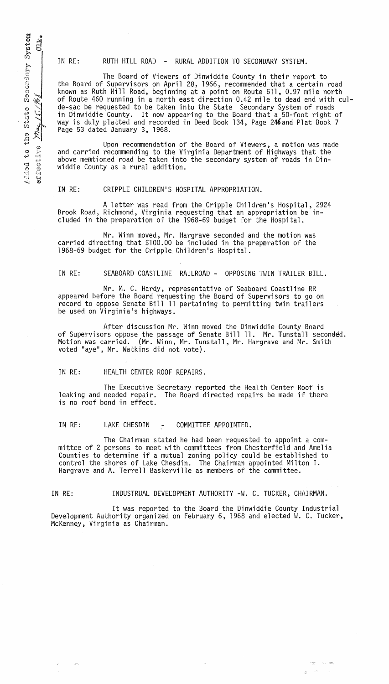item<br>LK. ille<br>Sys  $\frac{1}{3}$ 8000dary  $rac{5}{3}$ may  $\tilde{\mathcal{C}}$ ⊗ ب ~.,;) • ..,j ..:~;) 'D CJ  $\circ$   $\circ$ r:<br>2 a

IN RE: RUTH HILL ROAD - RURAL ADDITION TO SECONDARY SYSTEM.

The Board of Viewers of Dinwiddie County in their report to the Board of Supervisors on April 28, 1966, recommended that a certain road known as Ruth Hill Road, beginning at a point on Route 611,0.97 mile north of Route 460 running in a north east direction 0.42 mile to dead end with culde-sac be requested to be taken into the State Secondary System of roads in Dinwiddie County. It now appearing to the Board that a 50-foot right of way is duly platted and recorded in Deed Book 134, Page 246and Plat Book 7 Page 53 dated January 3, 1968.

Upon recommendation of the Board of Viewers, a motion was made and carried recommending to the Virginia Department of Highways that the above memtioned road be taken into the secondary system of roads in Dinwiddie County as a rural addition.

## IN RE: CRIPPLE CHILDREN'S HOSPITAL APPROPRIATION.

A letter was read from the Cripple Children's Hospital, 2924 Brook Road, Richmond, Virginia requesting that an appropriation be included in the preparation of the 1968-69 budget for the Hospital.

Mr. Winn moved, Mr. Hargrave seconded and the motion was carried directing that \$100.00 be included in the preparation of the 1968-69 budget for the Cripple Children's Hospital.

IN RE: SEABOARD COASTLINE RAILROAD - OPPOSING TWIN TRAILER BILL.

Mr. M. C. Hardy, representative of Seaboard Coastline RR appeared before the Board requesting the Board of Supervisors to go on record to oppose Senate Bill 11 pertaining to permitting twin trailers be used on Virginia's highways.

After discussion Mr. Winn moved the Dinwiddie County Board of Supervisors oppose the passage of Senate Bill 11. Mr. Tunstall seconded. Motion was carried. (Mr. Winn, Mr. Tunstall, Mr. Hargrave and Mr. Smith voted "aye", Mr. Watkins did not vote).

IN RE: HEALTH CENTER ROOF REPAIRS.

The Executive Secretary reported the Health Center Roof is leaking and needed repair. The Board directed repairs be made if there is no roof bond in effect.

IN RE: LAKE CHESDIN - COMMITTEE APPOINTED.

The Chairman stated he had been requested to appoint a committee of 2 persons to meet with committees from Chesterfield and Amelia Counties to determine if a mutual zoning policy could be established to control the shores of Lake Chesdin. The Chairman appointed Milton I. Hargrave and A. Terrell Baskerville as members of the committee.

 $\kappa = 1000$  km  $^{-1}$ 

IN RE: INDUSTRUAL DEVELOPMENT AUTHORITY -W. C. TUCKER, CHAIRMAN.

It was reported to the Board the Dinwiddie County Industrial Development Authority organized on February 6, 1968 and elected W. C. Tucker, McKenney, Virginia as Chairman.

 $\langle \cdot, \cdot \rangle$ 

 $\mathcal{C} \subset \mathbb{R}^n$  .  $\mathcal{C} \subset \mathbb{R}^n$ المناطق الأروان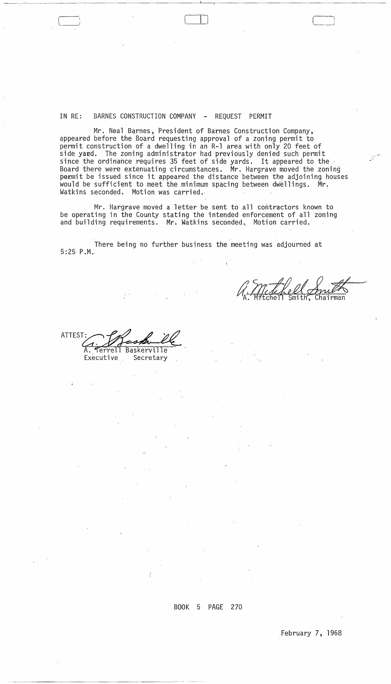IN RE: BARNES CONSTRUCTION COMPANY - REQUEST PERMIT

Mr. Neal Barnes, President of Barnes Construction Company, appeared before the Board requesting approval of a zoning permit to permit construction of a dwelling in an R-1 area with only 20 feet of side yand, The zoning administrator had previously denied such permit since the ordinance requires 35 feet of side yards. It appeared to the Board there were extenuating circumstances. Mr. Hargrave moved the zoning permit be issued since it appeared the distance between the adjoining houses would be sufficient to meet the minimum spacing between dwellings. Mr. Watkins seconded. Motion was carried.

Mr. Hargrave moved a letter be sent to all contractors known to be operating in the County stating the intended enforcement of all zoning and building requirements. Mr. Watkins seconded. Motion carried.

There being no further business the meeting was adjourned at 5:25 P.M.

M. Mchell Anul

(

ATTEST: Plaskwill A. Terrell Baskerville<br>Executive Secretary

~ --~----~- -------------~~----

BOOK 5 PAGE 270

 $\label{eq:2} \mathcal{A}(\mathcal{A}) = \mathcal{A}(\mathcal{A}) \mathcal{A}(\mathcal{A})$ 

 $\frac{2}{\lambda_{\rm{eff}}}$  .